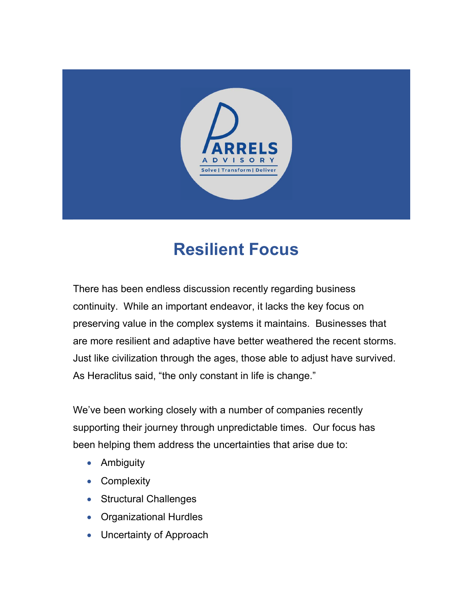

## Resilient Focus

There has been endless discussion recently regarding business continuity. While an important endeavor, it lacks the key focus on preserving value in the complex systems it maintains. Businesses that are more resilient and adaptive have better weathered the recent storms. Just like civilization through the ages, those able to adjust have survived. As Heraclitus said, "the only constant in life is change."

We've been working closely with a number of companies recently supporting their journey through unpredictable times. Our focus has been helping them address the uncertainties that arise due to:

- Ambiguity
- Complexity
- Structural Challenges
- Organizational Hurdles
- Uncertainty of Approach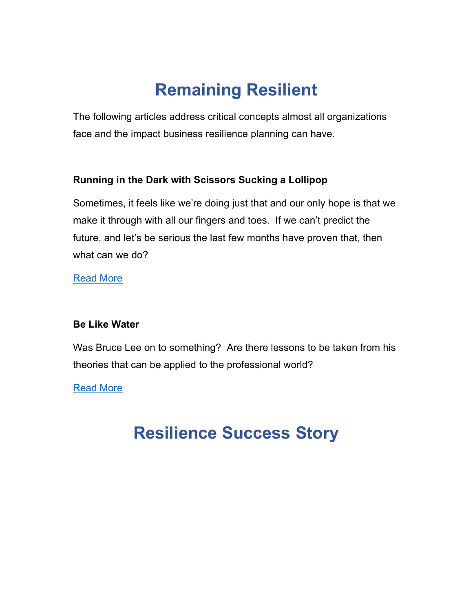# Remaining Resilient

The following articles address critical concepts almost all organizations face and the impact business resilience planning can have.

#### Running in the Dark with Scissors Sucking a Lollipop

Sometimes, it feels like we're doing just that and our only hope is that we make it through with all our fingers and toes. If we can't predict the future, and let's be serious the last few months have proven that, then what can we do?

Read More

#### Be Like Water

Was Bruce Lee on to something? Are there lessons to be taken from his theories that can be applied to the professional world?

Read More

### Resilience Success Story